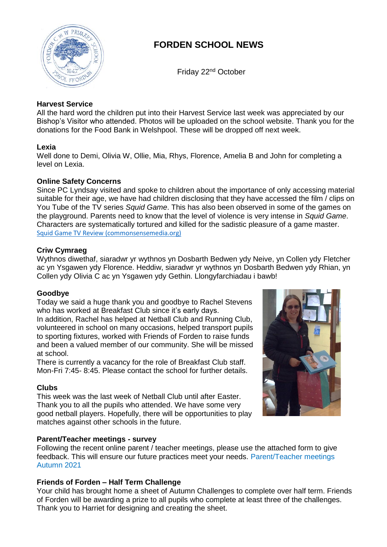

# **FORDEN SCHOOL NEWS**

Friday 22nd October

# **Harvest Service**

All the hard word the children put into their Harvest Service last week was appreciated by our Bishop's Visitor who attended. Photos will be uploaded on the school website. Thank you for the donations for the Food Bank in Welshpool. These will be dropped off next week.

### **Lexia**

Well done to Demi, Olivia W, Ollie, Mia, Rhys, Florence, Amelia B and John for completing a level on Lexia.

### **Online Safety Concerns**

Since PC Lyndsay visited and spoke to children about the importance of only accessing material suitable for their age, we have had children disclosing that they have accessed the film / clips on You Tube of the TV series *Squid Game*. This has also been observed in some of the games on the playground. Parents need to know that the level of violence is very intense in *Squid Game*. Characters are systematically tortured and killed for the sadistic pleasure of a game master. [Squid Game TV Review \(commonsensemedia.org\)](https://www.commonsensemedia.org/tv-reviews/squid-game)

### **Criw Cymraeg**

Wythnos diwethaf, siaradwr yr wythnos yn Dosbarth Bedwen ydy Neive, yn Collen ydy Fletcher ac yn Ysgawen ydy Florence. Heddiw, siaradwr yr wythnos yn Dosbarth Bedwen ydy Rhian, yn Collen ydy Olivia C ac yn Ysgawen ydy Gethin. Llongyfarchiadau i bawb!

#### **Goodbye**

Today we said a huge thank you and goodbye to Rachel Stevens who has worked at Breakfast Club since it's early days.

In addition, Rachel has helped at Netball Club and Running Club, volunteered in school on many occasions, helped transport pupils to sporting fixtures, worked with Friends of Forden to raise funds and been a valued member of our community. She will be missed at school.

There is currently a vacancy for the role of Breakfast Club staff. Mon-Fri 7:45- 8:45. Please contact the school for further details.

# **Clubs**

This week was the last week of Netball Club until after Easter. Thank you to all the pupils who attended. We have some very good netball players. Hopefully, there will be opportunities to play matches against other schools in the future.

# **Parent/Teacher meetings - survey**

Following the recent online parent / teacher meetings, please use the attached form to give feedback. This will ensure our future practices meet your needs. Parent/Teacher meetings Autumn 2021

# **Friends of Forden – Half Term Challenge**

Your child has brought home a sheet of Autumn Challenges to complete over half term. Friends of Forden will be awarding a prize to all pupils who complete at least three of the challenges. Thank you to Harriet for designing and creating the sheet.